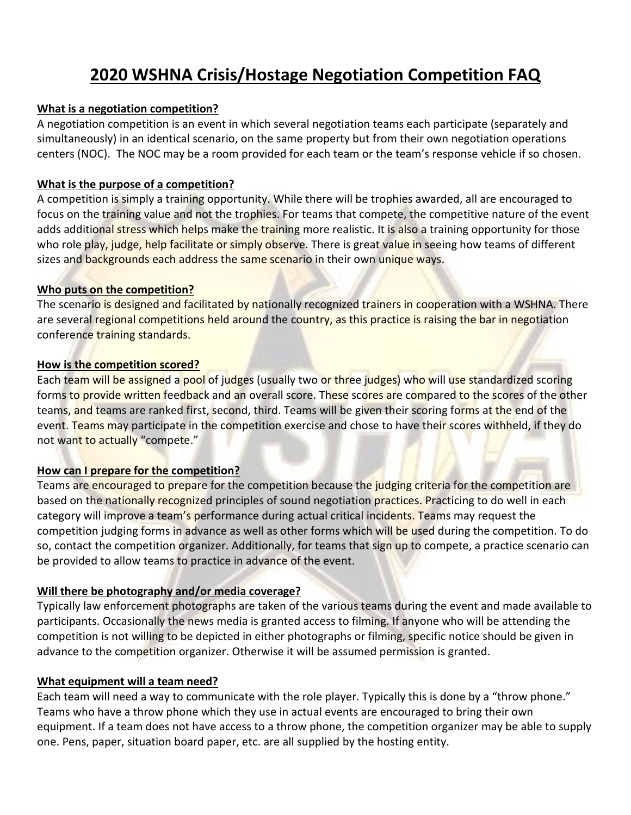# **2020 WSHNA Crisis/Hostage Negotiation Competition FAQ**

#### **What is a negotiation competition?**

A negotiation competition is an event in which several negotiation teams each participate (separately and simultaneously) in an identical scenario, on the same property but from their own negotiation operations centers (NOC). The NOC may be a room provided for each team or the team's response vehicle if so chosen.

#### **What is the purpose of a competition?**

A competition is simply a training opportunity. While there will be trophies awarded, all are encouraged to focus on the training value and not the trophies. For teams that compete, the competitive nature of the event adds additional stress which helps make the training more realistic. It is also a training opportunity for those who role play, judge, help facilitate or simply observe. There is great value in seeing how teams of different sizes and backgrounds each address the same scenario in their own unique ways.

#### **Who puts on the competition?**

The scenario is designed and facilitated by nationally recognized trainers in cooperation with a WSHNA. There are several regional competitions held around the country, as this practice is raising the bar in negotiation conference training standards.

#### **How is the competition scored?**

Each team will be assigned a pool of judges (usually two or three judges) who will use standardized scoring forms to provide written feedback and an overall score. These scores are compared to the scores of the other teams, and teams are ranked first, second, third. Teams will be given their scoring forms at the end of the event. Teams may participate in the competition exercise and chose to have their scores withheld, if they do not want to actually "compete."

#### **How can I prepare for the competition?**

Teams are encouraged to prepare for the competition because the judging criteria for the competition are based on the nationally recognized principles of sound negotiation practices. Practicing to do well in each category will improve a team's performance during actual critical incidents. Teams may request the competition judging forms in advance as well as other forms which will be used during the competition. To do so, contact the competition organizer. Additionally, for teams that sign up to compete, a practice scenario can be provided to allow teams to practice in advance of the event.

#### **Will there be photography and/or media coverage?**

Typically law enforcement photographs are taken of the various teams during the event and made available to participants. Occasionally the news media is granted access to filming. If anyone who will be attending the competition is not willing to be depicted in either photographs or filming, specific notice should be given in advance to the competition organizer. Otherwise it will be assumed permission is granted.

#### **What equipment will a team need?**

Each team will need a way to communicate with the role player. Typically this is done by a "throw phone." Teams who have a throw phone which they use in actual events are encouraged to bring their own equipment. If a team does not have access to a throw phone, the competition organizer may be able to supply one. Pens, paper, situation board paper, etc. are all supplied by the hosting entity.